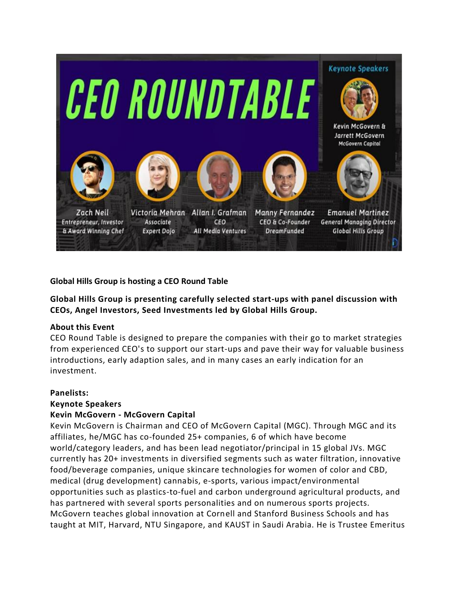

**Global Hills Group is hosting a CEO Round Table**

**Global Hills Group is presenting carefully selected start-ups with panel discussion with CEOs, Angel Investors, Seed Investments led by Global Hills Group.**

#### **About this Event**

CEO Round Table is designed to prepare the companies with their go to market strategies from experienced CEO's to support our start-ups and pave their way for valuable business introductions, early adaption sales, and in many cases an early indication for an investment.

## **Panelists:**

## **Keynote Speakers**

## **Kevin McGovern - McGovern Capital**

Kevin McGovern is Chairman and CEO of McGovern Capital (MGC). Through MGC and its affiliates, he/MGC has co-founded 25+ companies, 6 of which have become world/category leaders, and has been lead negotiator/principal in 15 global JVs. MGC currently has 20+ investments in diversified segments such as water filtration, innovative food/beverage companies, unique skincare technologies for women of color and CBD, medical (drug development) cannabis, e-sports, various impact/environmental opportunities such as plastics-to-fuel and carbon underground agricultural products, and has partnered with several sports personalities and on numerous sports projects. McGovern teaches global innovation at Cornell and Stanford Business Schools and has taught at MIT, Harvard, NTU Singapore, and KAUST in Saudi Arabia. He is Trustee Emeritus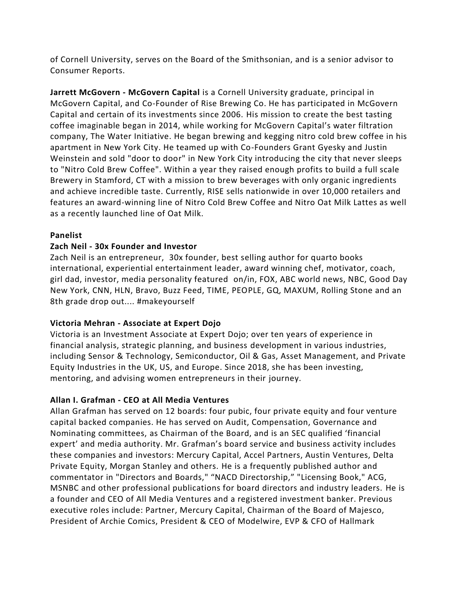of Cornell University, serves on the Board of the Smithsonian, and is a senior advisor to Consumer Reports.

**Jarrett McGovern - McGovern Capital** is a Cornell University graduate, principal in McGovern Capital, and Co-Founder of Rise Brewing Co. He has participated in McGovern Capital and certain of its investments since 2006. His mission to create the best tasting coffee imaginable began in 2014, while working for McGovern Capital's water filtration company, The Water Initiative. He began brewing and kegging nitro cold brew coffee in his apartment in New York City. He teamed up with Co-Founders Grant Gyesky and Justin Weinstein and sold "door to door" in New York City introducing the city that never sleeps to "Nitro Cold Brew Coffee". Within a year they raised enough profits to build a full scale Brewery in Stamford, CT with a mission to brew beverages with only organic ingredients and achieve incredible taste. Currently, RISE sells nationwide in over 10,000 retailers and features an award-winning line of Nitro Cold Brew Coffee and Nitro Oat Milk Lattes as well as a recently launched line of Oat Milk.

## **Panelist**

# **Zach Neil - 30x Founder and Investor**

Zach Neil is an entrepreneur, 30x founder, best selling author for quarto books international, experiential entertainment leader, award winning chef, motivator, coach, girl dad, investor, media personality featured on/in, FOX, ABC world news, NBC, Good Day New York, CNN, HLN, Bravo, Buzz Feed, TIME, PEOPLE, GQ, MAXUM, Rolling Stone and an 8th grade drop out.... #makeyourself

## **Victoria Mehran - Associate at Expert Dojo**

Victoria is an Investment Associate at Expert Dojo; over ten years of experience in financial analysis, strategic planning, and business development in various industries, including Sensor & Technology, Semiconductor, Oil & Gas, Asset Management, and Private Equity Industries in the UK, US, and Europe. Since 2018, she has been investing, mentoring, and advising women entrepreneurs in their journey.

## **Allan I. Grafman - CEO at All Media Ventures**

Allan Grafman has served on 12 boards: four pubic, four private equity and four venture capital backed companies. He has served on Audit, Compensation, Governance and Nominating committees, as Chairman of the Board, and is an SEC qualified 'financial expert' and media authority. Mr. Grafman's board service and business activity includes these companies and investors: Mercury Capital, Accel Partners, Austin Ventures, Delta Private Equity, Morgan Stanley and others. He is a frequently published author and commentator in "Directors and Boards," "NACD Directorship," "Licensing Book," ACG, MSNBC and other professional publications for board directors and industry leaders. He is a founder and CEO of All Media Ventures and a registered investment banker. Previous executive roles include: Partner, Mercury Capital, Chairman of the Board of Majesco, President of Archie Comics, President & CEO of Modelwire, EVP & CFO of Hallmark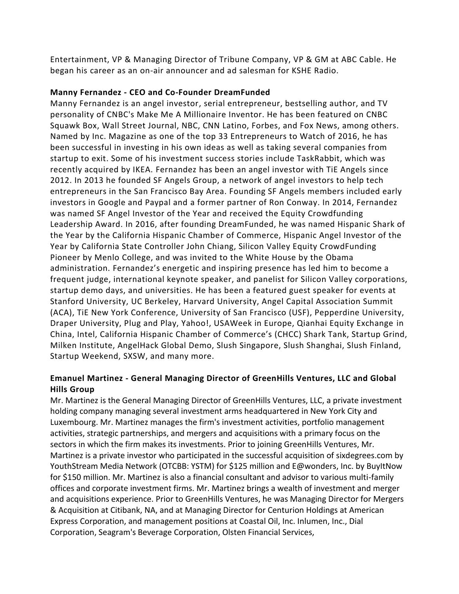Entertainment, VP & Managing Director of Tribune Company, VP & GM at ABC Cable. He began his career as an on-air announcer and ad salesman for KSHE Radio.

## **Manny Fernandez - CEO and Co-Founder DreamFunded**

Manny Fernandez is an angel investor, serial entrepreneur, bestselling author, and TV personality of CNBC's Make Me A Millionaire Inventor. He has been featured on CNBC Squawk Box, Wall Street Journal, NBC, CNN Latino, Forbes, and Fox News, among others. Named by Inc. Magazine as one of the top 33 Entrepreneurs to Watch of 2016, he has been successful in investing in his own ideas as well as taking several companies from startup to exit. Some of his investment success stories include TaskRabbit, which was recently acquired by IKEA. Fernandez has been an angel investor with TiE Angels since 2012. In 2013 he founded SF Angels Group, a network of angel investors to help tech entrepreneurs in the San Francisco Bay Area. Founding SF Angels members included early investors in Google and Paypal and a former partner of Ron Conway. In 2014, Fernandez was named SF Angel Investor of the Year and received the Equity Crowdfunding Leadership Award. In 2016, after founding DreamFunded, he was named Hispanic Shark of the Year by the California Hispanic Chamber of Commerce, Hispanic Angel Investor of the Year by California State Controller John Chiang, Silicon Valley Equity CrowdFunding Pioneer by Menlo College, and was invited to the White House by the Obama administration. Fernandez's energetic and inspiring presence has led him to become a frequent judge, international keynote speaker, and panelist for Silicon Valley corporations, startup demo days, and universities. He has been a featured guest speaker for events at Stanford University, UC Berkeley, Harvard University, Angel Capital Association Summit (ACA), TiE New York Conference, University of San Francisco (USF), Pepperdine University, Draper University, Plug and Play, Yahoo!, USAWeek in Europe, Qianhai Equity Exchange in China, Intel, California Hispanic Chamber of Commerce's (CHCC) Shark Tank, Startup Grind, Milken Institute, AngelHack Global Demo, Slush Singapore, Slush Shanghai, Slush Finland, Startup Weekend, SXSW, and many more.

# **Emanuel Martinez - General Managing Director of GreenHills Ventures, LLC and Global Hills Group**

Mr. Martinez is the General Managing Director of GreenHills Ventures, LLC, a private investment holding company managing several investment arms headquartered in New York City and Luxembourg. Mr. Martinez manages the firm's investment activities, portfolio management activities, strategic partnerships, and mergers and acquisitions with a primary focus on the sectors in which the firm makes its investments. Prior to joining GreenHills Ventures, Mr. Martinez is a private investor who participated in the successful acquisition of sixdegrees.com by YouthStream Media Network (OTCBB: YSTM) for \$125 million and E@wonders, Inc. by BuyItNow for \$150 million. Mr. Martinez is also a financial consultant and advisor to various multi-family offices and corporate investment firms. Mr. Martinez brings a wealth of investment and merger and acquisitions experience. Prior to GreenHills Ventures, he was Managing Director for Mergers & Acquisition at Citibank, NA, and at Managing Director for Centurion Holdings at American Express Corporation, and management positions at Coastal Oil, Inc. Inlumen, Inc., Dial Corporation, Seagram's Beverage Corporation, Olsten Financial Services,